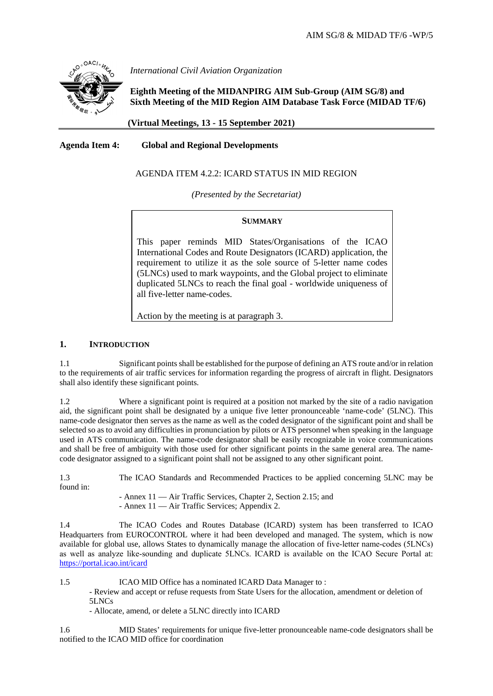

*International Civil Aviation Organization*

**Eighth Meeting of the MIDANPIRG AIM Sub-Group (AIM SG/8) and Sixth Meeting of the MID Region AIM Database Task Force (MIDAD TF/6)**

 **(Virtual Meetings, 13 - 15 September 2021)**

**Agenda Item 4: Global and Regional Developments**

# AGENDA ITEM 4.2.2: ICARD STATUS IN MID REGION

*(Presented by the Secretariat)*

## **SUMMARY**

This paper reminds MID States/Organisations of the ICAO International Codes and Route Designators (ICARD) application, the requirement to utilize it as the sole source of 5-letter name codes (5LNCs) used to mark waypoints, and the Global project to eliminate duplicated 5LNCs to reach the final goal - worldwide uniqueness of all five-letter name-codes.

Action by the meeting is at paragraph 3.

# **1. INTRODUCTION**

1.1 Significant points shall be established for the purpose of defining an ATS route and/or in relation to the requirements of air traffic services for information regarding the progress of aircraft in flight. Designators shall also identify these significant points.

1.2 Where a significant point is required at a position not marked by the site of a radio navigation aid, the significant point shall be designated by a unique five letter pronounceable 'name-code' (5LNC). This name-code designator then serves as the name as well as the coded designator of the significant point and shall be selected so as to avoid any difficulties in pronunciation by pilots or ATS personnel when speaking in the language used in ATS communication. The name-code designator shall be easily recognizable in voice communications and shall be free of ambiguity with those used for other significant points in the same general area. The namecode designator assigned to a significant point shall not be assigned to any other significant point.

1.3 The ICAO Standards and Recommended Practices to be applied concerning 5LNC may be found in:

- Annex 11 — Air Traffic Services, Chapter 2, Section 2.15; and - Annex 11 — Air Traffic Services; Appendix 2.

1.4 The ICAO Codes and Routes Database (ICARD) system has been transferred to ICAO Headquarters from EUROCONTROL where it had been developed and managed. The system, which is now available for global use, allows States to dynamically manage the allocation of five‐letter name‐codes (5LNCs) as well as analyze like‐sounding and duplicate 5LNCs. ICARD is available on the ICAO Secure Portal at: <https://portal.icao.int/icard>

1.5 ICAO MID Office has a nominated ICARD Data Manager to : - Review and accept or refuse requests from State Users for the allocation, amendment or deletion of 5LNCs

- Allocate, amend, or delete a 5LNC directly into ICARD

1.6 MID States' requirements for unique five-letter pronounceable name-code designators shall be notified to the ICAO MID office for coordination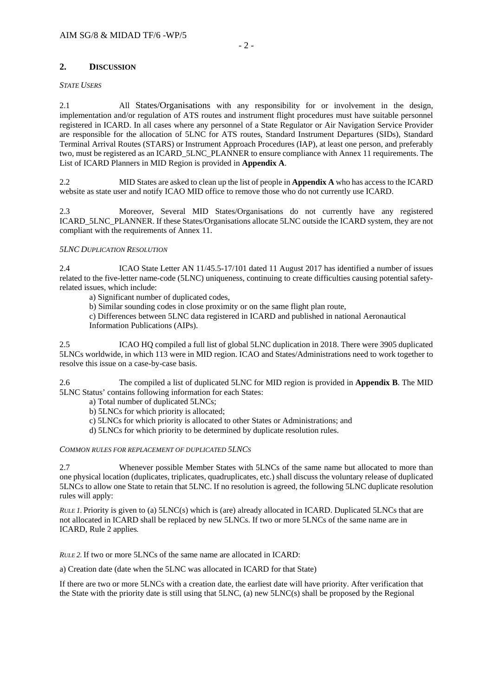# **2. DISCUSSION**

### *STATE USERS*

2.1 All States/Organisations with any responsibility for or involvement in the design, implementation and/or regulation of ATS routes and instrument flight procedures must have suitable personnel registered in ICARD. In all cases where any personnel of a State Regulator or Air Navigation Service Provider are responsible for the allocation of 5LNC for ATS routes, Standard Instrument Departures (SIDs), Standard Terminal Arrival Routes (STARS) or Instrument Approach Procedures (IAP), at least one person, and preferably two, must be registered as an ICARD\_5LNC\_PLANNER to ensure compliance with Annex 11 requirements. The List of ICARD Planners in MID Region is provided in **Appendix A**.

2.2 MID States are asked to clean up the list of people in **Appendix A** who has access to the ICARD website as state user and notify ICAO MID office to remove those who do not currently use ICARD.

2.3 Moreover, Several MID States/Organisations do not currently have any registered ICARD\_5LNC\_PLANNER. If these States/Organisations allocate 5LNC outside the ICARD system, they are not compliant with the requirements of Annex 11.

## *5LNC DUPLICATION RESOLUTION*

2.4 ICAO State Letter AN 11/45.5-17/101 dated 11 August 2017 has identified a number of issues related to the five-letter name-code (5LNC) uniqueness, continuing to create difficulties causing potential safetyrelated issues, which include:

a) Significant number of duplicated codes,

b) Similar sounding codes in close proximity or on the same flight plan route,

c) Differences between 5LNC data registered in ICARD and published in national Aeronautical Information Publications (AIPs).

2.5 ICAO HQ compiled a full list of global 5LNC duplication in 2018. There were 3905 duplicated 5LNCs worldwide, in which 113 were in MID region. ICAO and States/Administrations need to work together to resolve this issue on a case-by-case basis.

2.6 The compiled a list of duplicated 5LNC for MID region is provided in **Appendix B**. The MID 5LNC Status' contains following information for each States:

- a) Total number of duplicated 5LNCs;
- b) 5LNCs for which priority is allocated;
- c) 5LNCs for which priority is allocated to other States or Administrations; and
- d) 5LNCs for which priority to be determined by duplicate resolution rules.

#### *COMMON RULES FOR REPLACEMENT OF DUPLICATED 5LNCS*

2.7 Whenever possible Member States with 5LNCs of the same name but allocated to more than one physical location (duplicates, triplicates, quadruplicates, etc.) shall discuss the voluntary release of duplicated 5LNCs to allow one State to retain that 5LNC. If no resolution is agreed, the following 5LNC duplicate resolution rules will apply:

*RULE 1.* Priority is given to (a)  $5LNC(s)$  which is (are) already allocated in ICARD. Duplicated 5LNCs that are not allocated in ICARD shall be replaced by new 5LNCs. If two or more 5LNCs of the same name are in ICARD, Rule 2 applies*.*

*RULE 2.* If two or more 5LNCs of the same name are allocated in ICARD:

a) Creation date (date when the 5LNC was allocated in ICARD for that State)

If there are two or more 5LNCs with a creation date, the earliest date will have priority. After verification that the State with the priority date is still using that 5LNC, (a) new 5LNC(s) shall be proposed by the Regional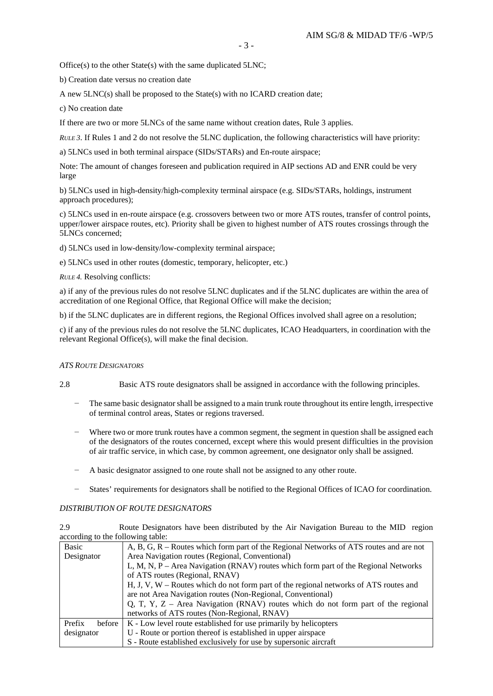Office(s) to the other State(s) with the same duplicated 5LNC;

b) Creation date versus no creation date

A new 5LNC(s) shall be proposed to the State(s) with no ICARD creation date;

c) No creation date

If there are two or more 5LNCs of the same name without creation dates, Rule 3 applies.

*RULE 3*. If Rules 1 and 2 do not resolve the 5LNC duplication, the following characteristics will have priority:

a) 5LNCs used in both terminal airspace (SIDs/STARs) and En-route airspace;

Note: The amount of changes foreseen and publication required in AIP sections AD and ENR could be very large

b) 5LNCs used in high-density/high-complexity terminal airspace (e.g. SIDs/STARs, holdings, instrument approach procedures);

c) 5LNCs used in en-route airspace (e.g. crossovers between two or more ATS routes, transfer of control points, upper/lower airspace routes, etc). Priority shall be given to highest number of ATS routes crossings through the 5LNCs concerned;

d) 5LNCs used in low-density/low-complexity terminal airspace;

e) 5LNCs used in other routes (domestic, temporary, helicopter, etc.)

*RULE 4.* Resolving conflicts:

a) if any of the previous rules do not resolve 5LNC duplicates and if the 5LNC duplicates are within the area of accreditation of one Regional Office, that Regional Office will make the decision;

b) if the 5LNC duplicates are in different regions, the Regional Offices involved shall agree on a resolution;

c) if any of the previous rules do not resolve the 5LNC duplicates, ICAO Headquarters, in coordination with the relevant Regional Office(s), will make the final decision.

#### *ATS ROUTE DESIGNATORS*

2.8 Basic ATS route designators shall be assigned in accordance with the following principles.

- The same basic designator shall be assigned to a main trunk route throughout its entire length, irrespective of terminal control areas, States or regions traversed.
- − Where two or more trunk routes have a common segment, the segment in question shall be assigned each of the designators of the routes concerned, except where this would present difficulties in the provision of air traffic service, in which case, by common agreement, one designator only shall be assigned.
- A basic designator assigned to one route shall not be assigned to any other route.
- States' requirements for designators shall be notified to the Regional Offices of ICAO for coordination.

#### *DISTRIBUTION OF ROUTE DESIGNATORS*

2.9 Route Designators have been distributed by the Air Navigation Bureau to the MID region according to the following table:

| Basic            | A, B, G, R – Routes which form part of the Regional Networks of ATS routes and are not  |  |  |  |  |  |  |  |  |  |
|------------------|-----------------------------------------------------------------------------------------|--|--|--|--|--|--|--|--|--|
| Designator       | Area Navigation routes (Regional, Conventional)                                         |  |  |  |  |  |  |  |  |  |
|                  | L, M, N, P – Area Navigation (RNAV) routes which form part of the Regional Networks     |  |  |  |  |  |  |  |  |  |
|                  | of ATS routes (Regional, RNAV)                                                          |  |  |  |  |  |  |  |  |  |
|                  | $H, J, V, W -$ Routes which do not form part of the regional networks of ATS routes and |  |  |  |  |  |  |  |  |  |
|                  | are not Area Navigation routes (Non-Regional, Conventional)                             |  |  |  |  |  |  |  |  |  |
|                  | Q, T, Y, Z – Area Navigation (RNAV) routes which do not form part of the regional       |  |  |  |  |  |  |  |  |  |
|                  | networks of ATS routes (Non-Regional, RNAV)                                             |  |  |  |  |  |  |  |  |  |
| Prefix<br>before | K - Low level route established for use primarily by helicopters                        |  |  |  |  |  |  |  |  |  |
| designator       | U - Route or portion thereof is established in upper airspace                           |  |  |  |  |  |  |  |  |  |
|                  | S - Route established exclusively for use by supersonic aircraft                        |  |  |  |  |  |  |  |  |  |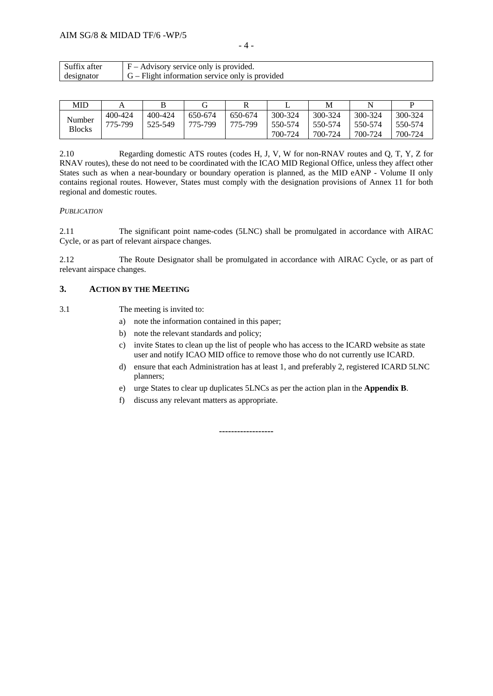| v<br>Ņ |  |
|--------|--|
|--------|--|

| $\sim$<br>$\sim$<br>atter<br>SUITTIX. | Advisory service only is provided.<br>$\sim$             |
|---------------------------------------|----------------------------------------------------------|
| designator                            | $G_{-}$<br>- Flight information service only is provided |

| MID                     |                    |                    |                    |                    |                               | М                             |                               |                               |
|-------------------------|--------------------|--------------------|--------------------|--------------------|-------------------------------|-------------------------------|-------------------------------|-------------------------------|
| Number<br><b>Blocks</b> | 400-424<br>775-799 | 400-424<br>525-549 | 650-674<br>775-799 | 650-674<br>775-799 | 300-324<br>550-574<br>700-724 | 300-324<br>550-574<br>700-724 | 300-324<br>550-574<br>700-724 | 300-324<br>550-574<br>700-724 |

2.10 Regarding domestic ATS routes (codes H, J, V, W for non-RNAV routes and Q, T, Y, Z for RNAV routes), these do not need to be coordinated with the ICAO MID Regional Office, unless they affect other States such as when a near-boundary or boundary operation is planned, as the MID eANP - Volume II only contains regional routes. However, States must comply with the designation provisions of Annex 11 for both regional and domestic routes.

## *PUBLICATION*

2.11 The significant point name-codes (5LNC) shall be promulgated in accordance with AIRAC Cycle, or as part of relevant airspace changes.

2.12 The Route Designator shall be promulgated in accordance with AIRAC Cycle, or as part of relevant airspace changes.

## **3. ACTION BY THE MEETING**

3.1 The meeting is invited to:

- a) note the information contained in this paper;
- b) note the relevant standards and policy;
- c) invite States to clean up the list of people who has access to the ICARD website as state user and notify ICAO MID office to remove those who do not currently use ICARD.
- d) ensure that each Administration has at least 1, and preferably 2, registered ICARD 5LNC planners;
- e) urge States to clear up duplicates 5LNCs as per the action plan in the **Appendix B**.
- f) discuss any relevant matters as appropriate.

**------------------**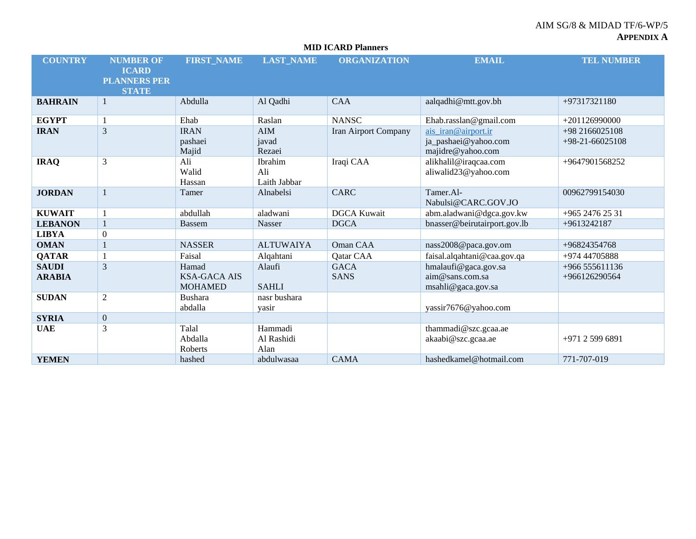|                               | <b>MID ICARD Planners</b>                                               |                                                |                                |                            |                                                                  |                                     |  |  |  |  |  |  |  |
|-------------------------------|-------------------------------------------------------------------------|------------------------------------------------|--------------------------------|----------------------------|------------------------------------------------------------------|-------------------------------------|--|--|--|--|--|--|--|
| <b>COUNTRY</b>                | <b>NUMBER OF</b><br><b>ICARD</b><br><b>PLANNERS PER</b><br><b>STATE</b> | <b>FIRST_NAME</b>                              | <b>LAST_NAME</b>               | <b>ORGANIZATION</b>        | <b>EMAIL</b>                                                     | <b>TEL NUMBER</b>                   |  |  |  |  |  |  |  |
| <b>BAHRAIN</b>                | -1                                                                      | Abdulla                                        | Al Qadhi                       | <b>CAA</b>                 | aalqadhi@mtt.gov.bh                                              | +97317321180                        |  |  |  |  |  |  |  |
| <b>EGYPT</b>                  | -1                                                                      | Ehab                                           | Raslan                         | <b>NANSC</b>               | Ehab.rasslan@gmail.com                                           | $+201126990000$                     |  |  |  |  |  |  |  |
| <b>IRAN</b>                   | 3                                                                       | <b>IRAN</b><br>pashaei<br>Majid                | <b>AIM</b><br>javad<br>Rezaei  | Iran Airport Company       | ais iran@airport.ir<br>ja_pashaei@yahoo.com<br>majidre@yahoo.com | +98 2166025108<br>$+98-21-66025108$ |  |  |  |  |  |  |  |
| <b>IRAQ</b>                   | 3                                                                       | Ali<br>Walid<br>Hassan                         | Ibrahim<br>Ali<br>Laith Jabbar | Iraqi CAA                  | alikhalil@iraqcaa.com<br>aliwalid23@yahoo.com                    | +9647901568252                      |  |  |  |  |  |  |  |
| <b>JORDAN</b>                 | $\mathbf{1}$                                                            | Tamer                                          | Alnabelsi                      | <b>CARC</b>                | Tamer.Al-<br>Nabulsi@CARC.GOV.JO                                 | 00962799154030                      |  |  |  |  |  |  |  |
| <b>KUWAIT</b>                 |                                                                         | abdullah                                       | aladwani                       | <b>DGCA Kuwait</b>         | abm.aladwani@dgca.gov.kw                                         | +965 2476 25 31                     |  |  |  |  |  |  |  |
| <b>LEBANON</b>                | $\mathbf{1}$                                                            | <b>Bassem</b>                                  | Nasser                         | <b>DGCA</b>                | bnasser@beirutairport.gov.lb                                     | +9613242187                         |  |  |  |  |  |  |  |
| <b>LIBYA</b>                  | $\boldsymbol{0}$                                                        |                                                |                                |                            |                                                                  |                                     |  |  |  |  |  |  |  |
| <b>OMAN</b>                   | $\mathbf{1}$                                                            | <b>NASSER</b>                                  | <b>ALTUWAIYA</b>               | Oman CAA                   | nass2008@paca.gov.om                                             | +96824354768                        |  |  |  |  |  |  |  |
| <b>QATAR</b>                  |                                                                         | Faisal                                         | Alqahtani                      | Qatar CAA                  | faisal.alqahtani@caa.gov.qa                                      | +974 44705888                       |  |  |  |  |  |  |  |
| <b>SAUDI</b><br><b>ARABIA</b> | 3                                                                       | Hamad<br><b>KSA-GACA AIS</b><br><b>MOHAMED</b> | Alaufi<br><b>SAHLI</b>         | <b>GACA</b><br><b>SANS</b> | hmalaufi@gaca.gov.sa<br>aim@sans.com.sa<br>msahli@gaca.gov.sa    | +966 555611136<br>+966126290564     |  |  |  |  |  |  |  |
| <b>SUDAN</b>                  | 2                                                                       | <b>Bushara</b><br>abdalla                      | nasr bushara<br>yasir          |                            | yassir7676@yahoo.com                                             |                                     |  |  |  |  |  |  |  |
| <b>SYRIA</b>                  | $\overline{0}$                                                          |                                                |                                |                            |                                                                  |                                     |  |  |  |  |  |  |  |
| <b>UAE</b>                    | 3                                                                       | Talal<br>Abdalla<br>Roberts                    | Hammadi<br>Al Rashidi<br>Alan  |                            | thammadi@szc.gcaa.ae<br>akaabi@szc.gcaa.ae                       | +971 2 599 6891                     |  |  |  |  |  |  |  |
| <b>YEMEN</b>                  |                                                                         | hashed                                         | abdulwasaa                     | <b>CAMA</b>                | hashedkamel@hotmail.com                                          | 771-707-019                         |  |  |  |  |  |  |  |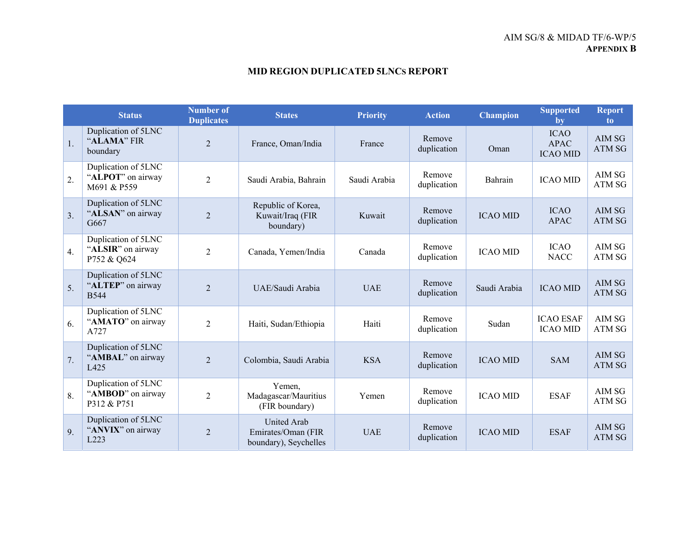# **MID REGION DUPLICATED 5LNCS REPORT**

|    | <b>Status</b>                                           | <b>Number of</b><br><b>Duplicates</b> | <b>States</b>                                                     | <b>Priority</b> | <b>Action</b>         | <b>Champion</b> | <b>Supported</b><br>by                        | <b>Report</b><br>to.    |
|----|---------------------------------------------------------|---------------------------------------|-------------------------------------------------------------------|-----------------|-----------------------|-----------------|-----------------------------------------------|-------------------------|
| 1. | Duplication of 5LNC<br>"ALAMA" FIR<br>boundary          | $\overline{2}$                        | France, Oman/India                                                | France          | Remove<br>duplication | Oman            | <b>ICAO</b><br><b>APAC</b><br><b>ICAO MID</b> | AIM SG<br><b>ATM SG</b> |
| 2. | Duplication of 5LNC<br>"ALPOT" on airway<br>M691 & P559 | $\overline{2}$                        | Saudi Arabia, Bahrain                                             | Saudi Arabia    | Remove<br>duplication | Bahrain         | <b>ICAO MID</b>                               | AIM SG<br>ATM SG        |
| 3. | Duplication of 5LNC<br>"ALSAN" on airway<br>G667        | $\overline{2}$                        | Republic of Korea,<br>Kuwait/Iraq (FIR<br>boundary)               | Kuwait          | Remove<br>duplication | <b>ICAO MID</b> | <b>ICAO</b><br><b>APAC</b>                    | AIM SG<br>ATM SG        |
| 4. | Duplication of 5LNC<br>"ALSIR" on airway<br>P752 & Q624 | $\overline{2}$                        | Canada, Yemen/India                                               | Canada          | Remove<br>duplication | <b>ICAO MID</b> | <b>ICAO</b><br><b>NACC</b>                    | AIM SG<br>ATM SG        |
| 5. | Duplication of 5LNC<br>"ALTEP" on airway<br><b>B544</b> | $\overline{2}$                        | UAE/Saudi Arabia                                                  | <b>UAE</b>      | Remove<br>duplication | Saudi Arabia    | <b>ICAO MID</b>                               | AIM SG<br><b>ATM SG</b> |
| 6. | Duplication of 5LNC<br>"AMATO" on airway<br>A727        | $\overline{2}$                        | Haiti, Sudan/Ethiopia                                             | Haiti           | Remove<br>duplication | Sudan           | <b>ICAO ESAF</b><br><b>ICAO MID</b>           | AIM SG<br>ATM SG        |
| 7. | Duplication of 5LNC<br>"AMBAL" on airway<br>L425        | $\mathfrak{D}$                        | Colombia, Saudi Arabia                                            | <b>KSA</b>      | Remove<br>duplication | <b>ICAO MID</b> | <b>SAM</b>                                    | AIM SG<br>ATM SG        |
| 8. | Duplication of 5LNC<br>"AMBOD" on airway<br>P312 & P751 | $\overline{2}$                        | Yemen.<br>Madagascar/Mauritius<br>(FIR boundary)                  | Yemen           | Remove<br>duplication | <b>ICAO MID</b> | <b>ESAF</b>                                   | AIM SG<br>ATM SG        |
| 9. | Duplication of 5LNC<br>"ANVIX" on airway<br>L223        | $\overline{2}$                        | <b>United Arab</b><br>Emirates/Oman (FIR<br>boundary), Seychelles | <b>UAE</b>      | Remove<br>duplication | <b>ICAO MID</b> | <b>ESAF</b>                                   | AIM SG<br><b>ATM SG</b> |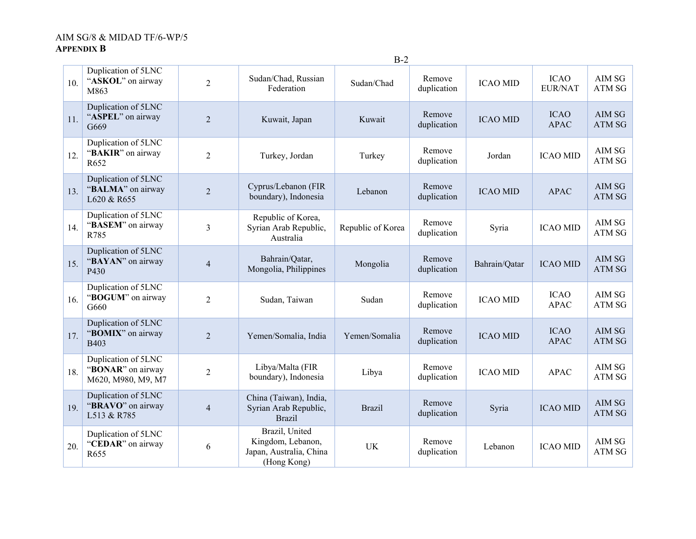|     |                                                                |                |                                                                               | $B-2$             |                       |                 |                               |                         |
|-----|----------------------------------------------------------------|----------------|-------------------------------------------------------------------------------|-------------------|-----------------------|-----------------|-------------------------------|-------------------------|
| 10. | Duplication of 5LNC<br>"ASKOL" on airway<br>M863               | $\overline{2}$ | Sudan/Chad, Russian<br>Federation                                             | Sudan/Chad        | Remove<br>duplication | <b>ICAO MID</b> | <b>ICAO</b><br><b>EUR/NAT</b> | AIM SG<br>ATM SG        |
| 11. | Duplication of 5LNC<br>"ASPEL" on airway<br>G669               | $\overline{2}$ | Kuwait, Japan                                                                 | Kuwait            | Remove<br>duplication | <b>ICAO MID</b> | <b>ICAO</b><br><b>APAC</b>    | AIM SG<br>ATM SG        |
| 12. | Duplication of 5LNC<br>"BAKIR" on airway<br>R652               | $\overline{2}$ | Turkey, Jordan                                                                | Turkey            | Remove<br>duplication | Jordan          | <b>ICAO MID</b>               | AIM SG<br>ATM SG        |
| 13. | Duplication of 5LNC<br>"BALMA" on airway<br>L620 & R655        | $\overline{2}$ | Cyprus/Lebanon (FIR<br>boundary), Indonesia                                   | Lebanon           | Remove<br>duplication | <b>ICAO MID</b> | <b>APAC</b>                   | AIM SG<br><b>ATM SG</b> |
| 14. | Duplication of 5LNC<br>"BASEM" on airway<br>R785               | 3              | Republic of Korea,<br>Syrian Arab Republic,<br>Australia                      | Republic of Korea | Remove<br>duplication | Syria           | <b>ICAO MID</b>               | AIM SG<br>ATM SG        |
| 15. | Duplication of 5LNC<br>"BAYAN" on airway<br>P430               | $\overline{4}$ | Bahrain/Qatar,<br>Mongolia, Philippines                                       | Mongolia          | Remove<br>duplication | Bahrain/Qatar   | <b>ICAO MID</b>               | AIM SG<br>ATM SG        |
| 16. | Duplication of 5LNC<br>"BOGUM" on airway<br>G660               | $\overline{2}$ | Sudan, Taiwan                                                                 | Sudan             | Remove<br>duplication | <b>ICAO MID</b> | <b>ICAO</b><br><b>APAC</b>    | AIM SG<br>ATM SG        |
| 17. | Duplication of 5LNC<br>"BOMIX" on airway<br>B403               | $\overline{2}$ | Yemen/Somalia, India                                                          | Yemen/Somalia     | Remove<br>duplication | <b>ICAO MID</b> | <b>ICAO</b><br><b>APAC</b>    | AIM SG<br><b>ATM SG</b> |
| 18. | Duplication of 5LNC<br>"BONAR" on airway<br>M620, M980, M9, M7 | $\overline{c}$ | Libya/Malta (FIR<br>boundary), Indonesia                                      | Libya             | Remove<br>duplication | <b>ICAO MID</b> | <b>APAC</b>                   | AIM SG<br>ATM SG        |
| 19. | Duplication of 5LNC<br>"BRAVO" on airway<br>L513 & R785        | $\overline{4}$ | China (Taiwan), India,<br>Syrian Arab Republic,<br><b>Brazil</b>              | <b>Brazil</b>     | Remove<br>duplication | Syria           | <b>ICAO MID</b>               | AIM SG<br><b>ATM SG</b> |
| 20. | Duplication of 5LNC<br>"CEDAR" on airway<br>R <sub>655</sub>   | 6              | Brazil, United<br>Kingdom, Lebanon,<br>Japan, Australia, China<br>(Hong Kong) | <b>UK</b>         | Remove<br>duplication | Lebanon         | <b>ICAO MID</b>               | AIM SG<br>ATM SG        |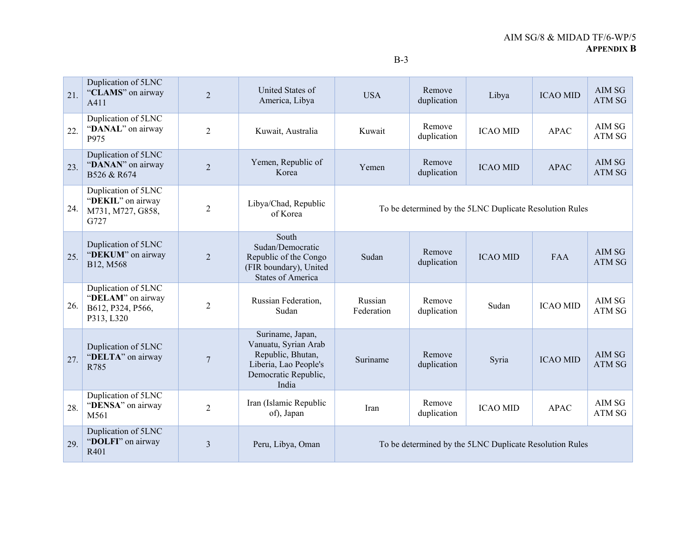| 21. | Duplication of 5LNC<br>"CLAMS" on airway<br>A411                            | $\overline{2}$ | United States of<br>America, Libya                                                                                      | <b>USA</b>                                              | Remove<br>duplication                                   | Libya           | <b>ICAO MID</b> | AIM SG<br>ATM SG        |  |
|-----|-----------------------------------------------------------------------------|----------------|-------------------------------------------------------------------------------------------------------------------------|---------------------------------------------------------|---------------------------------------------------------|-----------------|-----------------|-------------------------|--|
| 22. | Duplication of 5LNC<br>"DANAL" on airway<br>P975                            | $\overline{2}$ | Kuwait, Australia                                                                                                       | Kuwait                                                  | Remove<br>duplication                                   | <b>ICAO MID</b> | <b>APAC</b>     | AIM SG<br>ATM SG        |  |
| 23. | Duplication of 5LNC<br>"DANAN" on airway<br>B526 & R674                     | $\overline{2}$ | Yemen, Republic of<br>Korea                                                                                             | Yemen                                                   | Remove<br>duplication                                   | <b>ICAO MID</b> | <b>APAC</b>     | AIM SG<br>ATM SG        |  |
| 24. | Duplication of 5LNC<br>"DEKIL" on airway<br>M731, M727, G858,<br>G727       | $\overline{c}$ | Libya/Chad, Republic<br>of Korea                                                                                        | To be determined by the 5LNC Duplicate Resolution Rules |                                                         |                 |                 |                         |  |
| 25. | Duplication of 5LNC<br>"DEKUM" on airway<br>B12, M568                       | $\overline{2}$ | South<br>Sudan/Democratic<br>Republic of the Congo<br>(FIR boundary), United<br><b>States of America</b>                | Sudan                                                   | Remove<br>duplication                                   | <b>ICAO MID</b> | <b>FAA</b>      | AIM SG<br><b>ATM SG</b> |  |
| 26. | Duplication of 5LNC<br>"DELAM" on airway<br>B612, P324, P566,<br>P313, L320 | $\overline{2}$ | Russian Federation,<br>Sudan                                                                                            | Russian<br>Federation                                   | Remove<br>duplication                                   | Sudan           | <b>ICAO MID</b> | AIM SG<br>ATM SG        |  |
| 27. | Duplication of 5LNC<br>"DELTA" on airway<br>R785                            | 7              | Suriname, Japan,<br>Vanuatu, Syrian Arab<br>Republic, Bhutan,<br>Liberia, Lao People's<br>Democratic Republic,<br>India | Suriname                                                | Remove<br>duplication                                   | Syria           | <b>ICAO MID</b> | AIM SG<br>ATM SG        |  |
| 28. | Duplication of 5LNC<br>"DENSA" on airway<br>M561                            | $\overline{2}$ | Iran (Islamic Republic<br>of), Japan                                                                                    | Iran                                                    | Remove<br>duplication                                   | <b>ICAO MID</b> | <b>APAC</b>     | AIM SG<br>ATM SG        |  |
| 29. | Duplication of 5LNC<br>"DOLFI" on airway<br>R401                            | 3              | Peru, Libya, Oman                                                                                                       |                                                         | To be determined by the 5LNC Duplicate Resolution Rules |                 |                 |                         |  |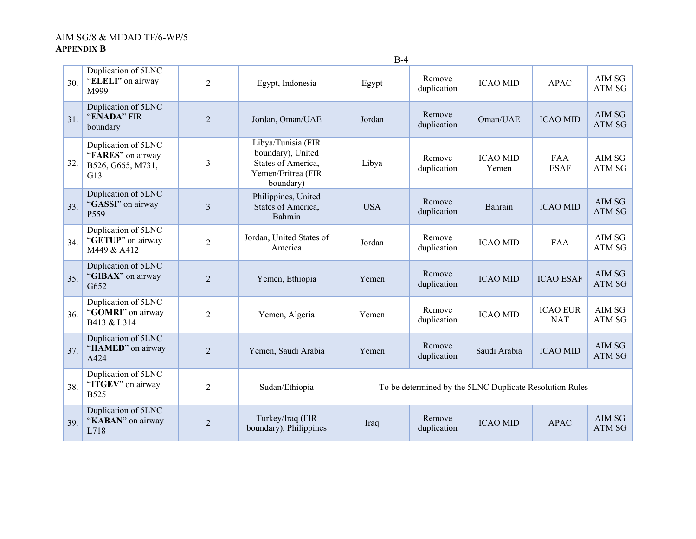|     |                                                                      |                |                                                                                                  | ມ−                                                      |                       |                          |                               |                         |
|-----|----------------------------------------------------------------------|----------------|--------------------------------------------------------------------------------------------------|---------------------------------------------------------|-----------------------|--------------------------|-------------------------------|-------------------------|
| 30. | Duplication of 5LNC<br>"ELELI" on airway<br>M999                     | $\overline{2}$ | Egypt, Indonesia                                                                                 | Egypt                                                   | Remove<br>duplication | <b>ICAO MID</b>          | <b>APAC</b>                   | AIM SG<br>ATM SG        |
| 31. | Duplication of 5LNC<br>"ENADA" FIR<br>boundary                       | $\overline{2}$ | Jordan, Oman/UAE                                                                                 | Jordan                                                  | Remove<br>duplication | Oman/UAE                 | <b>ICAO MID</b>               | AIM SG<br><b>ATM SG</b> |
| 32. | Duplication of 5LNC<br>"FARES" on airway<br>B526, G665, M731,<br>G13 | 3              | Libya/Tunisia (FIR<br>boundary), United<br>States of America,<br>Yemen/Eritrea (FIR<br>boundary) | Libya                                                   | Remove<br>duplication | <b>ICAO MID</b><br>Yemen | <b>FAA</b><br><b>ESAF</b>     | AIM SG<br>ATM SG        |
| 33. | Duplication of 5LNC<br>"GASSI" on airway<br>P559                     | $\overline{3}$ | Philippines, United<br>States of America,<br>Bahrain                                             | <b>USA</b>                                              | Remove<br>duplication | Bahrain                  | <b>ICAO MID</b>               | AIM SG<br><b>ATM SG</b> |
| 34. | Duplication of 5LNC<br>"GETUP" on airway<br>M449 & A412              | $\overline{2}$ | Jordan, United States of<br>America                                                              | Jordan                                                  | Remove<br>duplication | <b>ICAO MID</b>          | FAA                           | AIM SG<br>ATM SG        |
| 35. | Duplication of 5LNC<br>"GIBAX" on airway<br>G652                     | $\overline{2}$ | Yemen, Ethiopia                                                                                  | Yemen                                                   | Remove<br>duplication | <b>ICAO MID</b>          | <b>ICAO ESAF</b>              | AIM SG<br><b>ATM SG</b> |
| 36. | Duplication of 5LNC<br>"GOMRI" on airway<br>B413 & L314              | $\overline{2}$ | Yemen, Algeria                                                                                   | Yemen                                                   | Remove<br>duplication | <b>ICAO MID</b>          | <b>ICAO EUR</b><br><b>NAT</b> | AIM SG<br>ATM SG        |
| 37. | Duplication of 5LNC<br>"HAMED" on airway<br>A424                     | $\overline{2}$ | Yemen, Saudi Arabia                                                                              | Yemen                                                   | Remove<br>duplication | Saudi Arabia             | <b>ICAO MID</b>               | AIM SG<br><b>ATM SG</b> |
| 38. | Duplication of 5LNC<br>"ITGEV" on airway<br><b>B525</b>              | $\overline{2}$ | Sudan/Ethiopia                                                                                   | To be determined by the 5LNC Duplicate Resolution Rules |                       |                          |                               |                         |
| 39. | Duplication of 5LNC<br>"KABAN" on airway<br>L718                     | $\overline{2}$ | Turkey/Iraq (FIR<br>boundary), Philippines                                                       | Iraq                                                    | Remove<br>duplication | <b>ICAO MID</b>          | <b>APAC</b>                   | AIM SG<br>ATM SG        |

 $R-4$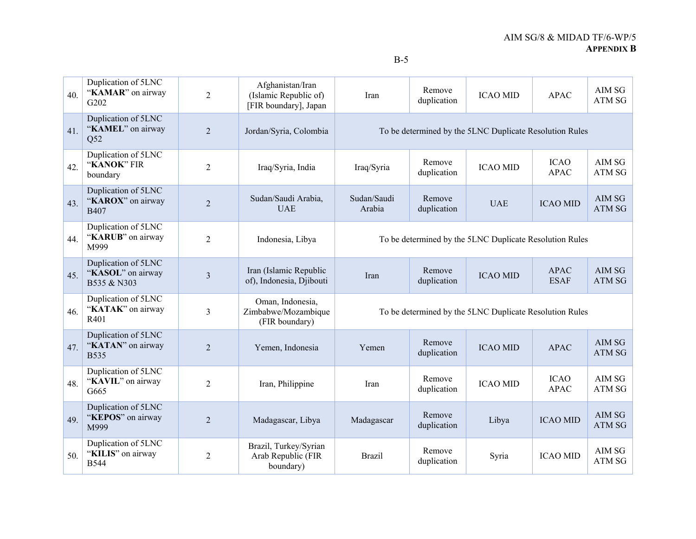| 40. | Duplication of 5LNC<br>"KAMAR" on airway<br>G202        | $\overline{2}$ | Afghanistan/Iran<br>(Islamic Republic of)<br>[FIR boundary], Japan | Iran                                                    | Remove<br>duplication                                   | <b>ICAO MID</b>                                         | <b>APAC</b>                | AIM SG<br>ATM SG        |  |
|-----|---------------------------------------------------------|----------------|--------------------------------------------------------------------|---------------------------------------------------------|---------------------------------------------------------|---------------------------------------------------------|----------------------------|-------------------------|--|
| 41. | Duplication of 5LNC<br>"KAMEL" on airway<br>Q52         | $\overline{2}$ | Jordan/Syria, Colombia                                             |                                                         | To be determined by the 5LNC Duplicate Resolution Rules |                                                         |                            |                         |  |
| 42. | Duplication of 5LNC<br>"KANOK" FIR<br>boundary          | $\overline{2}$ | Iraq/Syria, India                                                  | Iraq/Syria                                              | Remove<br>duplication                                   | <b>ICAO MID</b>                                         | <b>ICAO</b><br><b>APAC</b> | AIM SG<br>ATM SG        |  |
| 43. | Duplication of 5LNC<br>"KAROX" on airway<br><b>B407</b> | $\overline{2}$ | Sudan/Saudi Arabia,<br><b>UAE</b>                                  | Sudan/Saudi<br>Arabia                                   | Remove<br>duplication                                   | <b>UAE</b>                                              | <b>ICAO MID</b>            | AIM SG<br><b>ATM SG</b> |  |
| 44. | Duplication of 5LNC<br>"KARUB" on airway<br>M999        | 2              | Indonesia, Libya                                                   | To be determined by the 5LNC Duplicate Resolution Rules |                                                         |                                                         |                            |                         |  |
| 45. | Duplication of 5LNC<br>"KASOL" on airway<br>B535 & N303 | $\overline{3}$ | Iran (Islamic Republic<br>of), Indonesia, Djibouti                 | Iran                                                    | Remove<br>duplication                                   | <b>ICAO MID</b>                                         | <b>APAC</b><br><b>ESAF</b> | AIM SG<br>ATM SG        |  |
| 46. | Duplication of 5LNC<br>"KATAK" on airway<br>R401        | 3              | Oman, Indonesia,<br>Zimbabwe/Mozambique<br>(FIR boundary)          |                                                         |                                                         | To be determined by the 5LNC Duplicate Resolution Rules |                            |                         |  |
| 47. | Duplication of 5LNC<br>"KATAN" on airway<br><b>B535</b> | $\overline{2}$ | Yemen, Indonesia                                                   | Yemen                                                   | Remove<br>duplication                                   | <b>ICAO MID</b>                                         | <b>APAC</b>                | AIM SG<br><b>ATM SG</b> |  |
| 48. | Duplication of 5LNC<br>"KAVIL" on airway<br>G665        | $\overline{2}$ | Iran, Philippine                                                   | Iran                                                    | Remove<br>duplication                                   | <b>ICAO MID</b>                                         | <b>ICAO</b><br><b>APAC</b> | AIM SG<br>ATM SG        |  |
| 49. | Duplication of 5LNC<br>"KEPOS" on airway<br>M999        | $\overline{2}$ | Madagascar, Libya                                                  | Madagascar                                              | Remove<br>duplication                                   | Libya                                                   | <b>ICAO MID</b>            | AIM SG<br>ATM SG        |  |
| 50. | Duplication of 5LNC<br>"KILIS" on airway<br><b>B544</b> | $\overline{c}$ | Brazil, Turkey/Syrian<br>Arab Republic (FIR<br>boundary)           | <b>Brazil</b>                                           | Remove<br>duplication                                   | Syria                                                   | <b>ICAO MID</b>            | AIM SG<br>ATM SG        |  |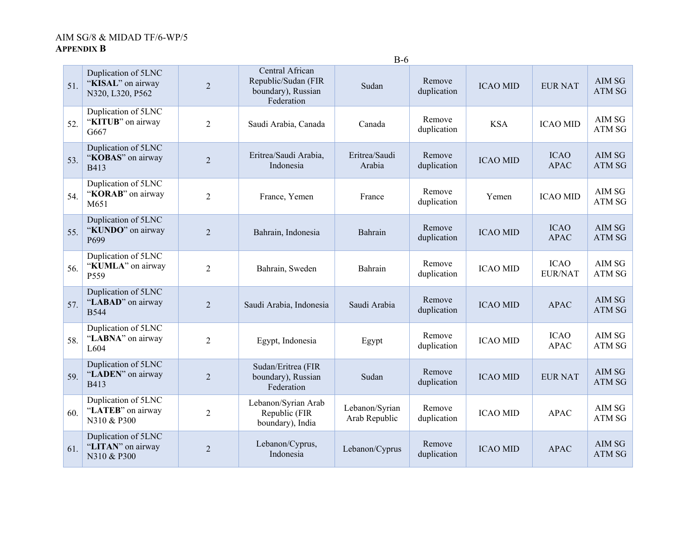|     |                                                              | $B-6$          |                                                                            |                                 |                       |                 |                               |                                  |  |  |
|-----|--------------------------------------------------------------|----------------|----------------------------------------------------------------------------|---------------------------------|-----------------------|-----------------|-------------------------------|----------------------------------|--|--|
| 51. | Duplication of 5LNC<br>"KISAL" on airway<br>N320, L320, P562 | $\overline{2}$ | Central African<br>Republic/Sudan (FIR<br>boundary), Russian<br>Federation | Sudan                           | Remove<br>duplication | <b>ICAO MID</b> | <b>EUR NAT</b>                | AIM SG<br>ATM SG                 |  |  |
| 52. | Duplication of 5LNC<br>"KITUB" on airway<br>G667             | $\overline{2}$ | Saudi Arabia, Canada                                                       | Canada                          | Remove<br>duplication | <b>KSA</b>      | <b>ICAO MID</b>               | AIM SG<br>ATM SG                 |  |  |
| 53. | Duplication of 5LNC<br>"KOBAS" on airway<br><b>B413</b>      | $\overline{2}$ | Eritrea/Saudi Arabia,<br>Indonesia                                         | Eritrea/Saudi<br>Arabia         | Remove<br>duplication | <b>ICAO MID</b> | <b>ICAO</b><br><b>APAC</b>    | AIM SG<br>ATM SG                 |  |  |
| 54. | Duplication of 5LNC<br>"KORAB" on airway<br>M651             | $\overline{2}$ | France, Yemen                                                              | France                          | Remove<br>duplication | Yemen           | <b>ICAO MID</b>               | AIM SG<br>ATM SG                 |  |  |
| 55. | Duplication of 5LNC<br>"KUNDO" on airway<br>P <sub>699</sub> | $\overline{2}$ | Bahrain, Indonesia                                                         | Bahrain                         | Remove<br>duplication | <b>ICAO MID</b> | <b>ICAO</b><br><b>APAC</b>    | AIM SG<br>ATM SG                 |  |  |
| 56. | Duplication of 5LNC<br>"KUMLA" on airway<br>P559             | $\overline{2}$ | Bahrain, Sweden                                                            | Bahrain                         | Remove<br>duplication | <b>ICAO MID</b> | <b>ICAO</b><br><b>EUR/NAT</b> | AIM SG<br>ATM SG                 |  |  |
| 57. | Duplication of 5LNC<br>"LABAD" on airway<br><b>B544</b>      | $\overline{2}$ | Saudi Arabia, Indonesia                                                    | Saudi Arabia                    | Remove<br>duplication | <b>ICAO MID</b> | <b>APAC</b>                   | <b>AIM SG</b><br><b>ATM SG</b>   |  |  |
| 58. | Duplication of 5LNC<br>"LABNA" on airway<br>L604             | $\overline{2}$ | Egypt, Indonesia                                                           | Egypt                           | Remove<br>duplication | <b>ICAO MID</b> | <b>ICAO</b><br><b>APAC</b>    | AIM SG<br>${\bf ATM}$ ${\bf SG}$ |  |  |
| 59. | Duplication of 5LNC<br>"LADEN" on airway<br>B413             | $\overline{2}$ | Sudan/Eritrea (FIR<br>boundary), Russian<br>Federation                     | Sudan                           | Remove<br>duplication | <b>ICAO MID</b> | <b>EUR NAT</b>                | AIM SG<br>ATM SG                 |  |  |
| 60. | Duplication of 5LNC<br>"LATEB" on airway<br>N310 & P300      | $\overline{2}$ | Lebanon/Syrian Arab<br>Republic (FIR<br>boundary), India                   | Lebanon/Syrian<br>Arab Republic | Remove<br>duplication | <b>ICAO MID</b> | <b>APAC</b>                   | AIM SG<br>ATM SG                 |  |  |
| 61. | Duplication of 5LNC<br>"LITAN" on airway<br>N310 & P300      | $\overline{2}$ | Lebanon/Cyprus,<br>Indonesia                                               | Lebanon/Cyprus                  | Remove<br>duplication | <b>ICAO MID</b> | <b>APAC</b>                   | AIM SG<br>ATM SG                 |  |  |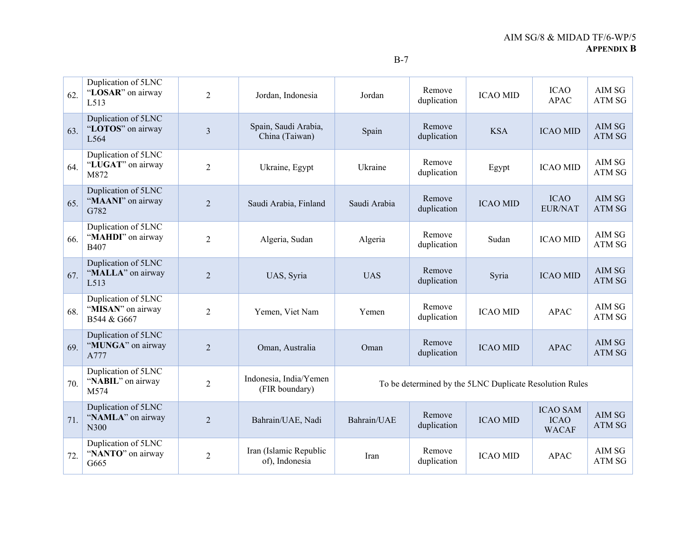| 62. | Duplication of 5LNC<br>"LOSAR" on airway<br>L513             | $\overline{2}$ | Jordan, Indonesia                        | Jordan       | Remove<br>duplication | <b>ICAO MID</b>                                         | <b>ICAO</b><br><b>APAC</b>                     | AIM SG<br><b>ATM SG</b> |
|-----|--------------------------------------------------------------|----------------|------------------------------------------|--------------|-----------------------|---------------------------------------------------------|------------------------------------------------|-------------------------|
| 63. | Duplication of 5LNC<br>"LOTOS" on airway<br>L <sub>564</sub> | 3              | Spain, Saudi Arabia,<br>China (Taiwan)   | Spain        | Remove<br>duplication | <b>KSA</b>                                              | <b>ICAO MID</b>                                | AIM SG<br><b>ATM SG</b> |
| 64. | Duplication of 5LNC<br>"LUGAT" on airway<br>M872             | $\overline{2}$ | Ukraine, Egypt                           | Ukraine      | Remove<br>duplication | Egypt                                                   | <b>ICAO MID</b>                                | AIM SG<br><b>ATM SG</b> |
| 65. | Duplication of 5LNC<br>"MAANI" on airway<br>G782             | $\overline{2}$ | Saudi Arabia, Finland                    | Saudi Arabia | Remove<br>duplication | <b>ICAO MID</b>                                         | <b>ICAO</b><br><b>EUR/NAT</b>                  | AIM SG<br><b>ATM SG</b> |
| 66. | Duplication of 5LNC<br>"MAHDI" on airway<br><b>B407</b>      | $\overline{2}$ | Algeria, Sudan                           | Algeria      | Remove<br>duplication | Sudan                                                   | <b>ICAO MID</b>                                | AIM SG<br>ATM SG        |
| 67. | Duplication of 5LNC<br>"MALLA" on airway<br>L513             | $\overline{2}$ | UAS, Syria                               | <b>UAS</b>   | Remove<br>duplication | Syria                                                   | <b>ICAO MID</b>                                | AIM SG<br><b>ATM SG</b> |
| 68. | Duplication of 5LNC<br>"MISAN" on airway<br>B544 & G667      | $\overline{2}$ | Yemen, Viet Nam                          | Yemen        | Remove<br>duplication | <b>ICAO MID</b>                                         | <b>APAC</b>                                    | AIM SG<br><b>ATM SG</b> |
| 69. | Duplication of 5LNC<br>"MUNGA" on airway<br>A777             | $\overline{2}$ | Oman, Australia                          | Oman         | Remove<br>duplication | <b>ICAO MID</b>                                         | <b>APAC</b>                                    | AIM SG<br>ATM SG        |
| 70. | Duplication of 5LNC<br>"NABIL" on airway<br>M574             | $\overline{2}$ | Indonesia, India/Yemen<br>(FIR boundary) |              |                       | To be determined by the 5LNC Duplicate Resolution Rules |                                                |                         |
| 71. | Duplication of 5LNC<br>"NAMLA" on airway<br>N300             | $\overline{2}$ | Bahrain/UAE, Nadi                        | Bahrain/UAE  | Remove<br>duplication | <b>ICAO MID</b>                                         | <b>ICAO SAM</b><br><b>ICAO</b><br><b>WACAF</b> | AIM SG<br><b>ATM SG</b> |
| 72. | Duplication of 5LNC<br>"NANTO" on airway<br>G665             | $\overline{2}$ | Iran (Islamic Republic<br>of), Indonesia | Iran         | Remove<br>duplication | <b>ICAO MID</b>                                         | <b>APAC</b>                                    | AIM SG<br>ATM SG        |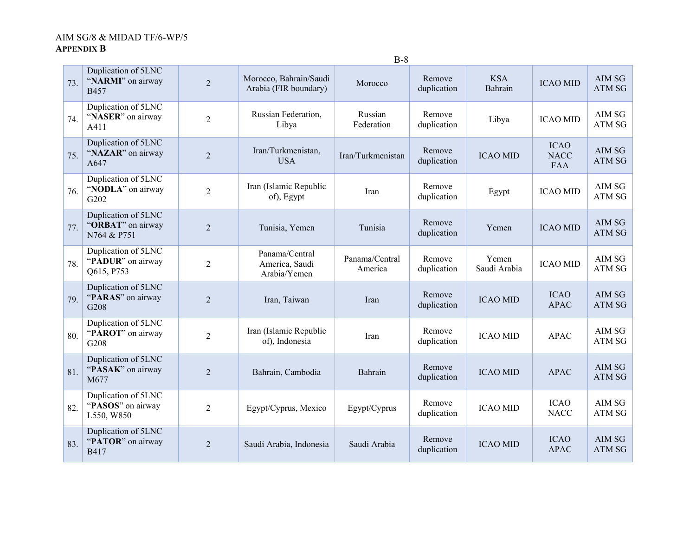|     |                                                         |                |                                                  | ້ບ                        |                       |                       |                                          |                         |
|-----|---------------------------------------------------------|----------------|--------------------------------------------------|---------------------------|-----------------------|-----------------------|------------------------------------------|-------------------------|
| 73. | Duplication of 5LNC<br>"NARMI" on airway<br>B457        | $\overline{2}$ | Morocco, Bahrain/Saudi<br>Arabia (FIR boundary)  | Morocco                   | Remove<br>duplication | <b>KSA</b><br>Bahrain | <b>ICAO MID</b>                          | AIM SG<br><b>ATM SG</b> |
| 74. | Duplication of 5LNC<br>"NASER" on airway<br>A411        | $\overline{2}$ | Russian Federation,<br>Libya                     | Russian<br>Federation     | Remove<br>duplication | Libya                 | <b>ICAO MID</b>                          | AIM SG<br>ATM SG        |
| 75. | Duplication of 5LNC<br>"NAZAR" on airway<br>A647        | $\overline{2}$ | Iran/Turkmenistan,<br><b>USA</b>                 | Iran/Turkmenistan         | Remove<br>duplication | <b>ICAO MID</b>       | <b>ICAO</b><br><b>NACC</b><br><b>FAA</b> | AIM SG<br>ATM SG        |
| 76. | Duplication of 5LNC<br>"NODLA" on airway<br>G202        | $\overline{2}$ | Iran (Islamic Republic<br>of), Egypt             | Iran                      | Remove<br>duplication | Egypt                 | <b>ICAO MID</b>                          | AIM SG<br>ATM SG        |
| 77. | Duplication of 5LNC<br>"ORBAT" on airway<br>N764 & P751 | $\overline{2}$ | Tunisia, Yemen                                   | Tunisia                   | Remove<br>duplication | Yemen                 | <b>ICAO MID</b>                          | AIM SG<br><b>ATM SG</b> |
| 78. | Duplication of 5LNC<br>"PADUR" on airway<br>Q615, P753  | $\overline{2}$ | Panama/Central<br>America, Saudi<br>Arabia/Yemen | Panama/Central<br>America | Remove<br>duplication | Yemen<br>Saudi Arabia | <b>ICAO MID</b>                          | AIM SG<br>ATM SG        |
| 79. | Duplication of 5LNC<br>"PARAS" on airway<br>G208        | $\overline{2}$ | Iran, Taiwan                                     | Iran                      | Remove<br>duplication | <b>ICAO MID</b>       | <b>ICAO</b><br><b>APAC</b>               | AIM SG<br>ATM SG        |
| 80. | Duplication of 5LNC<br>"PAROT" on airway<br>G208        | $\overline{2}$ | Iran (Islamic Republic<br>of), Indonesia         | Iran                      | Remove<br>duplication | <b>ICAO MID</b>       | <b>APAC</b>                              | AIM SG<br>ATM SG        |
| 81. | Duplication of 5LNC<br>"PASAK" on airway<br>M677        | $\overline{2}$ | Bahrain, Cambodia                                | Bahrain                   | Remove<br>duplication | <b>ICAO MID</b>       | <b>APAC</b>                              | AIM SG<br>ATM SG        |
| 82. | Duplication of 5LNC<br>"PASOS" on airway<br>L550, W850  | $\overline{2}$ | Egypt/Cyprus, Mexico                             | Egypt/Cyprus              | Remove<br>duplication | <b>ICAO MID</b>       | <b>ICAO</b><br><b>NACC</b>               | AIM SG<br>ATM SG        |
| 83. | Duplication of 5LNC<br>"PATOR" on airway<br><b>B417</b> | $\overline{2}$ | Saudi Arabia, Indonesia                          | Saudi Arabia              | Remove<br>duplication | <b>ICAO MID</b>       | <b>ICAO</b><br><b>APAC</b>               | AIM SG<br>ATM SG        |

B-8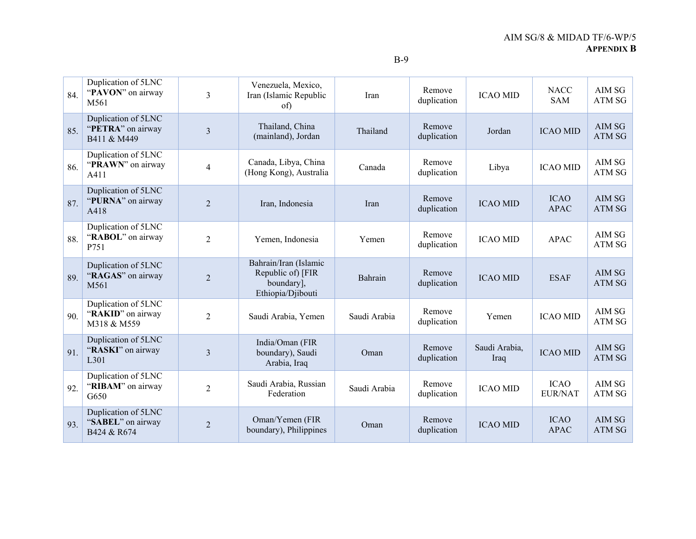| 84. | Duplication of 5LNC<br>"PAVON" on airway<br>M561             | 3                       | Venezuela, Mexico,<br>Iran (Islamic Republic<br>of)                           | Iran         | Remove<br>duplication | <b>ICAO MID</b>       | <b>NACC</b><br><b>SAM</b>     | AIM SG<br>ATM SG        |
|-----|--------------------------------------------------------------|-------------------------|-------------------------------------------------------------------------------|--------------|-----------------------|-----------------------|-------------------------------|-------------------------|
| 85. | Duplication of 5LNC<br>"PETRA" on airway<br>B411 & M449      | 3                       | Thailand, China<br>(mainland), Jordan                                         | Thailand     | Remove<br>duplication | Jordan                | <b>ICAO MID</b>               | AIM SG<br><b>ATM SG</b> |
| 86. | Duplication of 5LNC<br>"PRAWN" on airway<br>A411             | $\overline{\mathbf{4}}$ | Canada, Libya, China<br>(Hong Kong), Australia                                | Canada       | Remove<br>duplication | Libya                 | <b>ICAO MID</b>               | AIM SG<br>ATM SG        |
| 87. | Duplication of 5LNC<br>"PURNA" on airway<br>A418             | $\overline{2}$          | Iran, Indonesia                                                               | Iran         | Remove<br>duplication | <b>ICAO MID</b>       | <b>ICAO</b><br><b>APAC</b>    | AIM SG<br><b>ATM SG</b> |
| 88. | Duplication of 5LNC<br>"RABOL" on airway<br>P751             | 2                       | Yemen, Indonesia                                                              | Yemen        | Remove<br>duplication | <b>ICAO MID</b>       | APAC                          | AIM SG<br>ATM SG        |
| 89. | Duplication of 5LNC<br>"RAGAS" on airway<br>M <sub>561</sub> | $\overline{2}$          | Bahrain/Iran (Islamic<br>Republic of) [FIR<br>boundary],<br>Ethiopia/Djibouti | Bahrain      | Remove<br>duplication | <b>ICAO MID</b>       | <b>ESAF</b>                   | AIM SG<br>ATM SG        |
| 90. | Duplication of 5LNC<br>"RAKID" on airway<br>M318 & M559      | $\overline{2}$          | Saudi Arabia, Yemen                                                           | Saudi Arabia | Remove<br>duplication | Yemen                 | <b>ICAO MID</b>               | AIM SG<br>ATM SG        |
| 91. | Duplication of 5LNC<br>"RASKI" on airway<br>L <sub>301</sub> | 3                       | India/Oman (FIR<br>boundary), Saudi<br>Arabia, Iraq                           | Oman         | Remove<br>duplication | Saudi Arabia,<br>Iraq | <b>ICAO MID</b>               | AIM SG<br><b>ATM SG</b> |
| 92. | Duplication of 5LNC<br>"RIBAM" on airway<br>G650             | $\overline{c}$          | Saudi Arabia, Russian<br>Federation                                           | Saudi Arabia | Remove<br>duplication | <b>ICAO MID</b>       | <b>ICAO</b><br><b>EUR/NAT</b> | AIM SG<br>ATM SG        |
| 93. | Duplication of 5LNC<br>"SABEL" on airway<br>B424 & R674      | $\overline{2}$          | Oman/Yemen (FIR<br>boundary), Philippines                                     | Oman         | Remove<br>duplication | <b>ICAO MID</b>       | <b>ICAO</b><br><b>APAC</b>    | AIM SG<br><b>ATM SG</b> |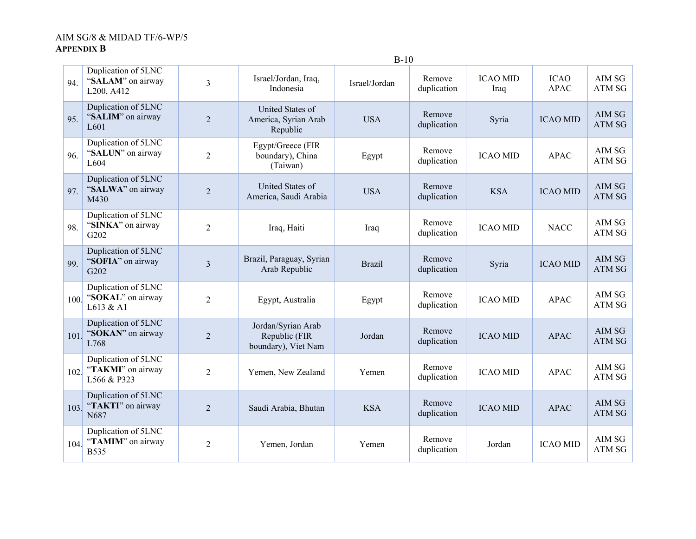|      |                                                         | $B-10$         |                                                            |               |                       |                         |                            |                         |
|------|---------------------------------------------------------|----------------|------------------------------------------------------------|---------------|-----------------------|-------------------------|----------------------------|-------------------------|
| 94.  | Duplication of 5LNC<br>"SALAM" on airway<br>L200, A412  | 3              | Israel/Jordan, Iraq,<br>Indonesia                          | Israel/Jordan | Remove<br>duplication | <b>ICAO MID</b><br>Iraq | <b>ICAO</b><br><b>APAC</b> | AIM SG<br>ATM SG        |
| 95.  | Duplication of 5LNC<br>"SALIM" on airway<br>L601        | $\overline{c}$ | United States of<br>America, Syrian Arab<br>Republic       | <b>USA</b>    | Remove<br>duplication | Syria                   | <b>ICAO MID</b>            | AIM SG<br>ATM SG        |
| 96.  | Duplication of 5LNC<br>"SALUN" on airway<br>L604        | $\overline{2}$ | Egypt/Greece (FIR<br>boundary), China<br>(Taiwan)          | Egypt         | Remove<br>duplication | <b>ICAO MID</b>         | <b>APAC</b>                | AIM SG<br><b>ATM SG</b> |
| 97.  | Duplication of 5LNC<br>"SALWA" on airway<br>M430        | $\overline{2}$ | United States of<br>America, Saudi Arabia                  | <b>USA</b>    | Remove<br>duplication | <b>KSA</b>              | <b>ICAO MID</b>            | AIM SG<br><b>ATM SG</b> |
| 98.  | Duplication of 5LNC<br>"SINKA" on airway<br>G202        | $\overline{c}$ | Iraq, Haiti                                                | Iraq          | Remove<br>duplication | <b>ICAO MID</b>         | <b>NACC</b>                | AIM SG<br>ATM SG        |
| 99.  | Duplication of 5LNC<br>"SOFIA" on airway<br>G202        | $\overline{3}$ | Brazil, Paraguay, Syrian<br>Arab Republic                  | <b>Brazil</b> | Remove<br>duplication | Syria                   | <b>ICAO MID</b>            | AIM SG<br><b>ATM SG</b> |
| 100. | Duplication of 5LNC<br>"SOKAL" on airway<br>L613 & A1   | $\overline{2}$ | Egypt, Australia                                           | Egypt         | Remove<br>duplication | <b>ICAO MID</b>         | <b>APAC</b>                | AIM SG<br>ATM SG        |
| 101. | Duplication of 5LNC<br>"SOKAN" on airway<br>L768        | $\overline{2}$ | Jordan/Syrian Arab<br>Republic (FIR<br>boundary), Viet Nam | Jordan        | Remove<br>duplication | <b>ICAO MID</b>         | <b>APAC</b>                | AIM SG<br>ATM SG        |
| 102. | Duplication of 5LNC<br>"TAKMI" on airway<br>L566 & P323 | $\overline{2}$ | Yemen, New Zealand                                         | Yemen         | Remove<br>duplication | <b>ICAO MID</b>         | <b>APAC</b>                | AIM SG<br>ATM SG        |
| 103. | Duplication of 5LNC<br>"TAKTI" on airway<br>N687        | $\overline{2}$ | Saudi Arabia, Bhutan                                       | <b>KSA</b>    | Remove<br>duplication | <b>ICAO MID</b>         | <b>APAC</b>                | AIM SG<br>ATM SG        |
| 104. | Duplication of 5LNC<br>"TAMIM" on airway<br><b>B535</b> | $\overline{2}$ | Yemen, Jordan                                              | Yemen         | Remove<br>duplication | Jordan                  | <b>ICAO MID</b>            | AIM SG<br>ATM SG        |